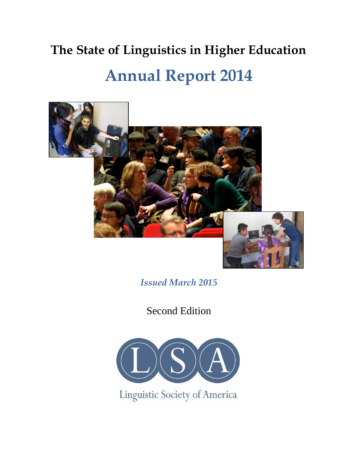# **The State of Linguistics in Higher Education Annual Report 2014**



*Issued March 2015*

Second Edition



Linguistic Society of America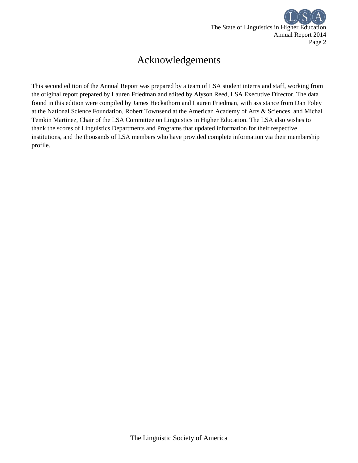

## Acknowledgements

This second edition of the Annual Report was prepared by a team of LSA student interns and staff, working from the original report prepared by Lauren Friedman and edited by Alyson Reed, LSA Executive Director. The data found in this edition were compiled by James Heckathorn and Lauren Friedman, with assistance from Dan Foley at the National Science Foundation, Robert Townsend at the American Academy of Arts & Sciences, and Michal Temkin Martinez, Chair of the LSA Committee on Linguistics in Higher Education. The LSA also wishes to thank the scores of Linguistics Departments and Programs that updated information for their respective institutions, and the thousands of LSA members who have provided complete information via their membership profile.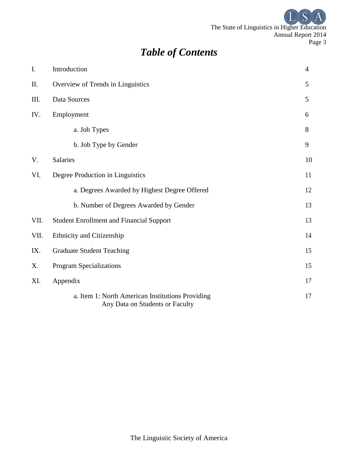The State of Linguistics in Higher Education Annual Report 2014 Page 3

# *Table of Contents*

| I.   | Introduction                                                                        | $\overline{4}$ |
|------|-------------------------------------------------------------------------------------|----------------|
| II.  | Overview of Trends in Linguistics                                                   | 5              |
| III. | Data Sources                                                                        | 5              |
| IV.  | Employment                                                                          | 6              |
|      | a. Job Types                                                                        | 8              |
|      | b. Job Type by Gender                                                               | 9              |
| V.   | Salaries                                                                            | 10             |
| VI.  | Degree Production in Linguistics                                                    | 11             |
|      | a. Degrees Awarded by Highest Degree Offered                                        | 12             |
|      | b. Number of Degrees Awarded by Gender                                              | 13             |
| VII. | <b>Student Enrollment and Financial Support</b>                                     | 13             |
| VII. | Ethnicity and Citizenship                                                           | 14             |
| IX.  | <b>Graduate Student Teaching</b>                                                    |                |
| X.   | Program Specializations                                                             | 15             |
| XI.  | Appendix                                                                            | 17             |
|      | a. Item 1: North American Institutions Providing<br>Any Data on Students or Faculty | 17             |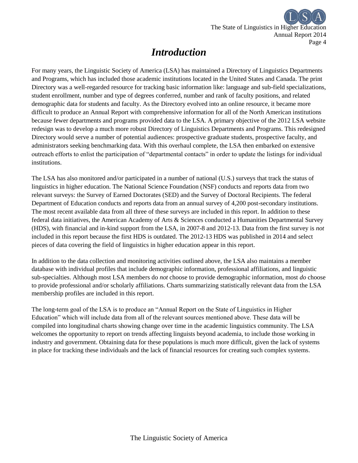

### *Introduction*

For many years, the Linguistic Society of America (LSA) has maintained a Directory of Linguistics Departments and Programs, which has included those academic institutions located in the United States and Canada. The print Directory was a well-regarded resource for tracking basic information like: language and sub-field specializations, student enrollment, number and type of degrees conferred, number and rank of faculty positions, and related demographic data for students and faculty. As the Directory evolved into an online resource, it became more difficult to produce an Annual Report with comprehensive information for all of the North American institutions because fewer departments and programs provided data to the LSA. A primary objective of the 2012 LSA website redesign was to develop a much more robust Directory of Linguistics Departments and Programs. This redesigned Directory would serve a number of potential audiences: prospective graduate students, prospective faculty, and administrators seeking benchmarking data. With this overhaul complete, the LSA then embarked on extensive outreach efforts to enlist the participation of "departmental contacts" in order to update the listings for individual institutions.

The LSA has also monitored and/or participated in a number of national (U.S.) surveys that track the status of linguistics in higher education. The National Science Foundation (NSF) conducts and reports data from two relevant surveys: the Survey of Earned Doctorates (SED) and the Survey of Doctoral Recipients. The federal Department of Education conducts and reports data from an annual survey of 4,200 post-secondary institutions. The most recent available data from all three of these surveys are included in this report. In addition to these federal data initiatives, the American Academy of Arts & Sciences conducted a Humanities Departmental Survey (HDS), with financial and in-kind support from the LSA, in 2007-8 and 2012-13. Data from the first survey is *not* included in this report because the first HDS is outdated. The 2012-13 HDS was published in 2014 and select pieces of data covering the field of linguistics in higher education appear in this report.

In addition to the data collection and monitoring activities outlined above, the LSA also maintains a member database with individual profiles that include demographic information, professional affiliations, and linguistic sub-specialties. Although most LSA members do *not* choose to provide demographic information, most *do* choose to provide professional and/or scholarly affiliations. Charts summarizing statistically relevant data from the LSA membership profiles are included in this report.

The long-term goal of the LSA is to produce an "Annual Report on the State of Linguistics in Higher Education" which will include data from all of the relevant sources mentioned above. These data will be compiled into longitudinal charts showing change over time in the academic linguistics community. The LSA welcomes the opportunity to report on trends affecting linguists beyond academia, to include those working in industry and government. Obtaining data for these populations is much more difficult, given the lack of systems in place for tracking these individuals and the lack of financial resources for creating such complex systems.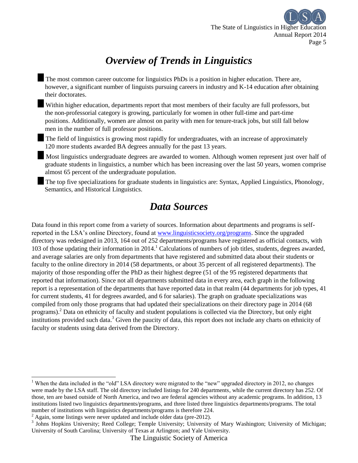

# *Overview of Trends in Linguistics*

The most common career outcome for linguistics PhDs is a position in higher education. There are, however, a significant number of linguists pursuing careers in industry and K-14 education after obtaining their doctorates.

Within higher education, departments report that most members of their faculty are full professors, but the non-professorial category is growing, particularly for women in other full-time and part-time positions. Additionally, women are almost on parity with men for tenure-track jobs, but still fall below men in the number of full professor positions.

The field of linguistics is growing most rapidly for undergraduates, with an increase of approximately 120 more students awarded BA degrees annually for the past 13 years.

Most linguistics undergraduate degrees are awarded to women. Although women represent just over half of graduate students in linguistics, a number which has been increasing over the last 50 years, women comprise almost 65 percent of the undergraduate population.

The top five specializations for graduate students in linguistics are: Syntax, Applied Linguistics, Phonology, Semantics, and Historical Linguistics.

### *Data Sources*

Data found in this report come from a variety of sources. Information about departments and programs is selfreported in the LSA's online Directory, found at www.linguisticsociety.org/programs. Since the upgraded directory was redesigned in 2013, 164 out of 252 departments/programs have registered as official contacts, with 103 of those updating their information in 2014.<sup>1</sup> Calculations of numbers of job titles, students, degrees awarded, and average salaries are only from departments that have registered and submitted data about their students or faculty to the online directory in 2014 (58 departments, or about 35 percent of all registered departments). The majority of those responding offer the PhD as their highest degree (51 of the 95 registered departments that reported that information). Since not all departments submitted data in every area, each graph in the following report is a representation of the departments that have reported data in that realm (44 departments for job types, 41 for current students, 41 for degrees awarded, and 6 for salaries). The graph on graduate specializations was compiled from only those programs that had updated their specializations on their directory page in 2014 (68 programs). <sup>2</sup> Data on ethnicity of faculty and student populations is collected via the Directory, but only eight institutions provided such data.<sup>3</sup> Given the paucity of data, this report does not include any charts on ethnicity of faculty or students using data derived from the Directory.

l

<sup>&</sup>lt;sup>1</sup> When the data included in the "old" LSA directory were migrated to the "new" upgraded directory in 2012, no changes were made by the LSA staff. The old directory included listings for 240 departments, while the current directory has 252. Of those, ten are based outside of North America, and two are federal agencies without any academic programs. In addition, 13 institutions listed two linguistics departments/programs, and three listed three linguistics departments/programs. The total number of institutions with linguistics departments/programs is therefore 224.

 $2 \text{ Again, some listings were never updated and include older data (pre-2012).}$ 

<sup>&</sup>lt;sup>3</sup> Johns Hopkins University; Reed College; Temple University; University of Mary Washington; University of Michigan; University of South Carolina; University of Texas at Arlington; and Yale University.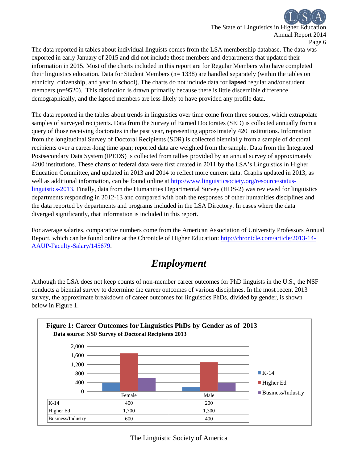The State of Linguistics in Higher Education Annual Report 2014 Page 6

The data reported in tables about individual linguists comes from the LSA membership database. The data was exported in early January of 2015 and did not include those members and departments that updated their information in 2015. Most of the charts included in this report are for Regular Members who have completed their linguistics education. Data for Student Members (n= 1338) are handled separately (within the tables on ethnicity, citizenship, and year in school). The charts do not include data for **lapsed** regular and/or student members (n=9520). This distinction is drawn primarily because there is little discernible difference demographically, and the lapsed members are less likely to have provided any profile data.

The data reported in the tables about trends in linguistics over time come from three sources, which extrapolate samples of surveyed recipients. Data from the Survey of Earned Doctorates (SED) is collected annually from a query of those receiving doctorates in the past year, representing approximately 420 institutions. Information from the longitudinal Survey of Doctoral Recipients (SDR) is collected biennially from a sample of doctoral recipients over a career-long time span; reported data are weighted from the sample. Data from the Integrated Postsecondary Data System (IPEDS) is collected from tallies provided by an annual survey of approximately 4200 institutions. These charts of federal data were first created in 2011 by the LSA's Linguistics in Higher Education Committee, and updated in 2013 and 2014 to reflect more current data. Graphs updated in 2013, as well as additional information, can be found online at [http://www.linguisticsociety.org/resource/status](http://www.linguisticsociety.org/resource/status-linguistics-2013)[linguistics-2013.](http://www.linguisticsociety.org/resource/status-linguistics-2013) Finally, data from the Humanities Departmental Survey (HDS-2) was reviewed for linguistics departments responding in 2012-13 and compared with both the responses of other humanities disciplines and the data reported by departments and programs included in the LSA Directory. In cases where the data diverged significantly, that information is included in this report.

For average salaries, comparative numbers come from the American Association of University Professors Annual Report, which can be found online at the Chronicle of Higher Education: [http://chronicle.com/article/2013-14-](http://chronicle.com/article/2013-14-AAUP-Faculty-Salary/145679) [AAUP-Faculty-Salary/145679.](http://chronicle.com/article/2013-14-AAUP-Faculty-Salary/145679)

## *Employment*

Although the LSA does not keep counts of non-member career outcomes for PhD linguists in the U.S., the NSF conducts a biennial survey to determine the career outcomes of various disciplines. In the most recent 2013 survey, the approximate breakdown of career outcomes for linguistics PhDs, divided by gender, is shown below in Figure 1.

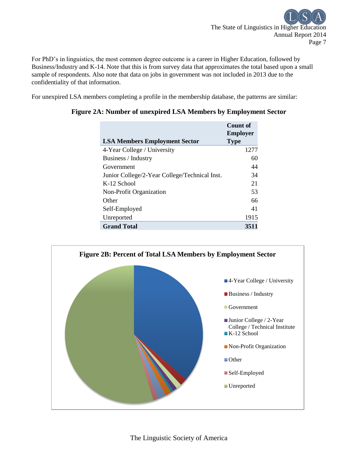

For PhD's in linguistics, the most common degree outcome is a career in Higher Education, followed by Business/Industry and K-14. Note that this is from survey data that approximates the total based upon a small sample of respondents. Also note that data on jobs in government was not included in 2013 due to the confidentiality of that information.

For unexpired LSA members completing a profile in the membership database, the patterns are similar:

|                                               | Count of        |
|-----------------------------------------------|-----------------|
|                                               | <b>Employer</b> |
| <b>LSA Members Employment Sector</b>          | <b>Type</b>     |
| 4-Year College / University                   | 1277            |
| Business / Industry                           | 60              |
| Government                                    | 44              |
| Junior College/2-Year College/Technical Inst. | 34              |
| K-12 School                                   | 21              |
| Non-Profit Organization                       | 53              |
| Other                                         | 66              |
| Self-Employed                                 | 41              |
| Unreported                                    | 1915            |
| <b>Grand Total</b>                            | 3511            |

#### **Figure 2A: Number of unexpired LSA Members by Employment Sector**

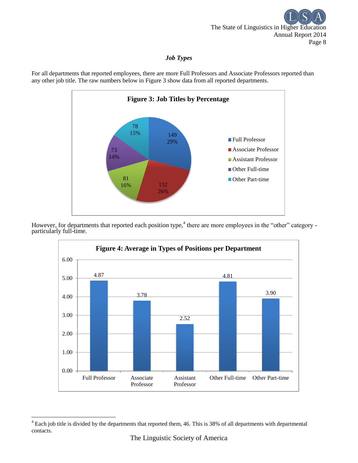

#### *Job Types*

For all departments that reported employees, there are more Full Professors and Associate Professors reported than any other job title. The raw numbers below in Figure 3 show data from all reported departments.



However, for departments that reported each position type,<sup>4</sup> there are more employees in the "other" category particularly full-time.



 $\overline{a}$ 

 $4$  Each job title is divided by the departments that reported them, 46. This is 38% of all departments with departmental contacts.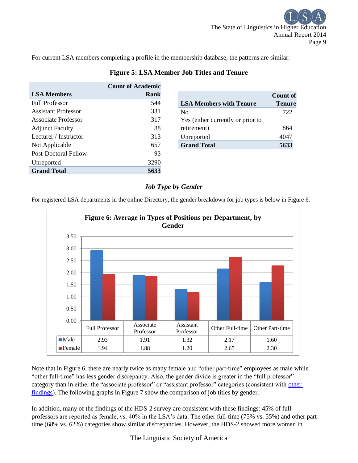For current LSA members completing a profile in the membership database, the patterns are similar:

|                            | <b>Count of Academic</b> |                                   |                 |
|----------------------------|--------------------------|-----------------------------------|-----------------|
| <b>LSA Members</b>         | <b>Rank</b>              |                                   | <b>Count of</b> |
| <b>Full Professor</b>      | 544                      | <b>LSA Members with Tenure</b>    | <b>Tenure</b>   |
| <b>Assistant Professor</b> | 331                      | N <sub>0</sub>                    | 722             |
| Associate Professor        | 317                      | Yes (either currently or prior to |                 |
| <b>Adjunct Faculty</b>     | 88                       | retirement)                       | 864             |
| Lecturer / Instructor      | 313                      | Unreported                        | 4047            |
| Not Applicable             | 657                      | <b>Grand Total</b>                | 5633            |
| Post-Doctoral Fellow       | 93                       |                                   |                 |
| Unreported                 | 3290                     |                                   |                 |
| <b>Grand Total</b>         | 5633                     |                                   |                 |

#### **Figure 5: LSA Member Job Titles and Tenure**

### *Job Type by Gender*

For registered LSA departments in the online Directory, the gender breakdown for job types is below in Figure 6.



Note that in Figure 6, there are nearly twice as many female and "other part-time" employees as male while "other full-time" has less gender discrepancy. Also, the gender divide is greater in the "full professor" category than in either the "associate professor" or "assistant professor" categories (consistent with other [findings\)](http://chronicle.com/article/The-Pyramid-Problem/126614/). The following graphs in Figure 7 show the comparison of job titles by gender.

In addition, many of the findings of the HDS-2 survey are consistent with these findings: 45% of full professors are reported as female, vs. 40% in the LSA's data. The other full-time (75% vs. 55%) and other parttime (68% vs. 62%) categories show similar discrepancies. However, the HDS-2 showed more women in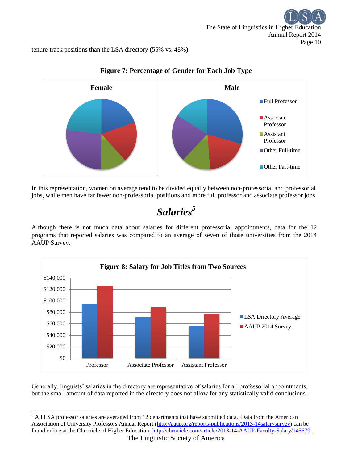tenure-track positions than the LSA directory (55% vs. 48%).



### **Figure 7: Percentage of Gender for Each Job Type**

In this representation, women on average tend to be divided equally between non-professorial and professorial jobs, while men have far fewer non-professorial positions and more full professor and associate professor jobs.

# *Salaries<sup>5</sup>*

Although there is not much data about salaries for different professorial appointments, data for the 12 programs that reported salaries was compared to an average of seven of those universities from the 2014 AAUP Survey.



Generally, linguists' salaries in the directory are representative of salaries for all professorial appointments, but the small amount of data reported in the directory does not allow for any statistically valid conclusions.

 $\overline{\phantom{a}}$ 

<sup>&</sup>lt;sup>5</sup> All LSA professor salaries are averaged from 12 departments that have submitted data. Data from the American Association of University Professors Annual Report [\(http://aaup.org/reports-publications/2013-14salarysurvey\)](http://aaup.org/reports-publications/2013-14salarysurvey) can be found online at the Chronicle of Higher Education: [http://chronicle.com/article/2013-14-AAUP-Faculty-Salary/145679.](http://chronicle.com/article/2013-14-AAUP-Faculty-Salary/145679)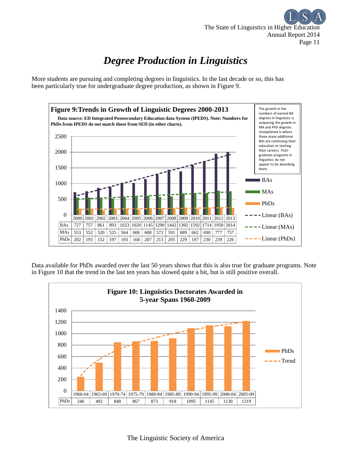

# *Degree Production in Linguistics*

More students are pursuing and completing degrees in linguistics. In the last decade or so, this has been particularly true for undergraduate degree production, as shown in Figure 9.



Data available for PhDs awarded over the last 50 years shows that this is also true for graduate programs. Note in Figure 10 that the trend in the last ten years has slowed quite a bit, but is still positive overall.

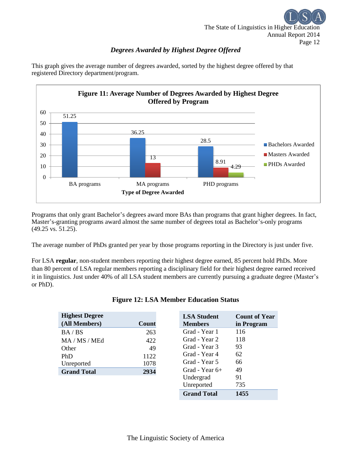

### *Degrees Awarded by Highest Degree Offered*



This graph gives the average number of degrees awarded, sorted by the highest degree offered by that registered Directory department/program.

Programs that only grant Bachelor's degrees award more BAs than programs that grant higher degrees. In fact, Master's-granting programs award almost the same number of degrees total as Bachelor's-only programs (49.25 vs. 51.25).

The average number of PhDs granted per year by those programs reporting in the Directory is just under five.

For LSA **regular**, non-student members reporting their highest degree earned, 85 percent hold PhDs. More than 80 percent of LSA regular members reporting a disciplinary field for their highest degree earned received it in linguistics. Just under 40% of all LSA student members are currently pursuing a graduate degree (Master's or PhD).

| Count |
|-------|
| 263   |
| 422   |
| 49    |
| 1122  |
| 1078  |
| 2934  |
|       |

|  |  | <b>Figure 12: LSA Member Education Status</b> |  |
|--|--|-----------------------------------------------|--|
|  |  |                                               |  |

| <b>LSA Student</b> | <b>Count of Year</b> |
|--------------------|----------------------|
| <b>Members</b>     | in Program           |
| Grad - Year 1      | 116                  |
| Grad - Year 2      | 118                  |
| Grad - Year 3      | 93                   |
| Grad - Year 4      | 62.                  |
| Grad - Year 5      | 66                   |
| Grad - Year 6+     | 49                   |
| Undergrad          | 91                   |
| Unreported         | 735                  |
| <b>Grand Total</b> | 1455                 |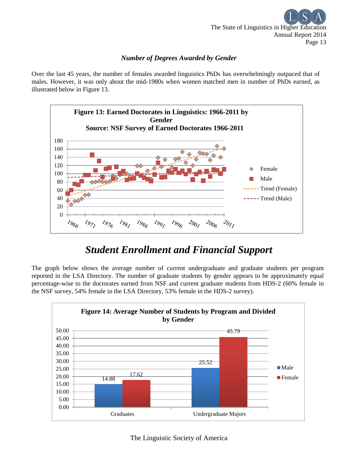

#### *Number of Degrees Awarded by Gender*

Over the last 45 years, the number of females awarded linguistics PhDs has overwhelmingly outpaced that of males. However, it was only about the mid-1980s when women matched men in number of PhDs earned, as illustrated below in Figure 13.



## *Student Enrollment and Financial Support*

The graph below shows the average number of current undergraduate and graduate students per program reported in the LSA Directory. The number of graduate students by gender appears to be approximately equal percentage-wise to the doctorates earned from NSF and current graduate students from HDS-2 (60% female in the NSF survey, 54% female in the LSA Directory, 53% female in the HDS-2 survey).

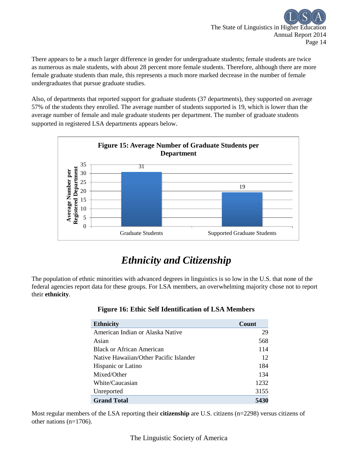

There appears to be a much larger difference in gender for undergraduate students; female students are twice as numerous as male students, with about 28 percent more female students. Therefore, although there are more female graduate students than male, this represents a much more marked decrease in the number of female undergraduates that pursue graduate studies.

Also, of departments that reported support for graduate students (37 departments), they supported on average 57% of the students they enrolled. The average number of students supported is 19, which is lower than the average number of female and male graduate students per department. The number of graduate students supported in registered LSA departments appears below.



# *Ethnicity and Citizenship*

The population of ethnic minorities with advanced degrees in linguistics is so low in the U.S. that none of the federal agencies report data for these groups. For LSA members, an overwhelming majority chose not to report their **ethnicity**.

| <b>Ethnicity</b>                       | Count |
|----------------------------------------|-------|
| American Indian or Alaska Native       | 29    |
| Asian                                  | 568   |
| <b>Black or African American</b>       | 114   |
| Native Hawaiian/Other Pacific Islander | 12    |
| Hispanic or Latino                     | 184   |
| Mixed/Other                            | 134   |
| White/Caucasian                        | 1232  |
| Unreported                             | 3155  |
| <b>Grand Total</b>                     | 5430  |

#### **Figure 16: Ethic Self Identification of LSA Members**

Most regular members of the LSA reporting their **citizenship** are U.S. citizens (n=2298) versus citizens of other nations (n=1706).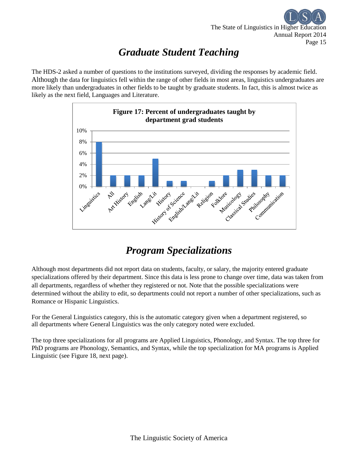

# *Graduate Student Teaching*

The HDS-2 asked a number of questions to the institutions surveyed, dividing the responses by academic field. Although the data for linguistics fell within the range of other fields in most areas, linguistics undergraduates are more likely than undergraduates in other fields to be taught by graduate students. In fact, this is almost twice as likely as the next field, Languages and Literature.



## *Program Specializations*

Although most departments did not report data on students, faculty, or salary, the majority entered graduate specializations offered by their department. Since this data is less prone to change over time, data was taken from all departments, regardless of whether they registered or not. Note that the possible specializations were determined without the ability to edit, so departments could not report a number of other specializations, such as Romance or Hispanic Linguistics.

For the General Linguistics category, this is the automatic category given when a department registered, so all departments where General Linguistics was the only category noted were excluded.

The top three specializations for all programs are Applied Linguistics, Phonology, and Syntax. The top three for PhD programs are Phonology, Semantics, and Syntax, while the top specialization for MA programs is Applied Linguistic (see Figure 18, next page).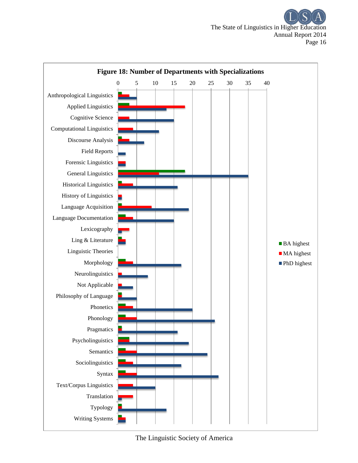